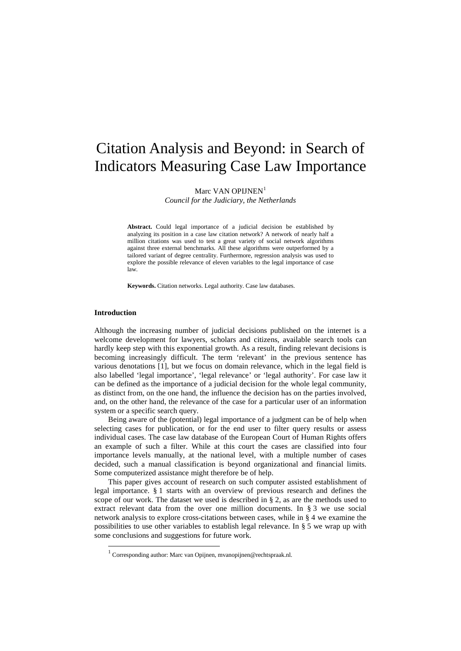# Citation Analysis and Beyond: in Search of Indicators Measuring Case Law Importance

Marc VAN OPIJNEN $<sup>1</sup>$  $<sup>1</sup>$  $<sup>1</sup>$ </sup>

*Council for the Judiciary, the Netherlands*

**Abstract.** Could legal importance of a judicial decision be established by analyzing its position in a case law citation network? A network of nearly half a million citations was used to test a great variety of social network algorithms against three external benchmarks. All these algorithms were outperformed by a tailored variant of degree centrality. Furthermore, regression analysis was used to explore the possible relevance of eleven variables to the legal importance of case law.

**Keywords.** Citation networks. Legal authority. Case law databases.

# **Introduction**

Although the increasing number of judicial decisions published on the internet is a welcome development for lawyers, scholars and citizens, available search tools can hardly keep step with this exponential growth. As a result, finding relevant decisions is becoming increasingly difficult. The term 'relevant' in the previous sentence has various denotations [\[1\]](#page-9-0), but we focus on domain relevance, which in the legal field is also labelled 'legal importance', 'legal relevance' or 'legal authority'. For case law it can be defined as the importance of a judicial decision for the whole legal community, as distinct from, on the one hand, the influence the decision has on the parties involved, and, on the other hand, the relevance of the case for a particular user of an information system or a specific search query.

Being aware of the (potential) legal importance of a judgment can be of help when selecting cases for publication, or for the end user to filter query results or assess individual cases. The case law database of the European Court of Human Rights offers an example of such a filter. While at this court the cases are classified into four importance levels manually, at the national level, with a multiple number of cases decided, such a manual classification is beyond organizational and financial limits. Some computerized assistance might therefore be of help.

This paper gives account of research on such computer assisted establishment of legal importance. § 1 starts with an overview of previous research and defines the scope of our work. The dataset we used is described in § 2, as are the methods used to extract relevant data from the over one million documents. In § 3 we use social network analysis to explore cross-citations between cases, while in § 4 we examine the possibilities to use other variables to establish legal relevance. In § 5 we wrap up with some conclusions and suggestions for future work.

<span id="page-0-0"></span><sup>&</sup>lt;sup>1</sup> Corresponding author: Marc van Opijnen, mvanopijnen@rechtspraak.nl.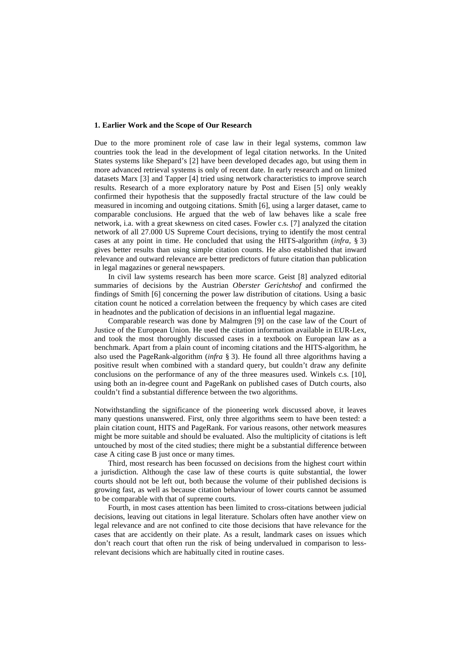## **1. Earlier Work and the Scope of Our Research**

Due to the more prominent role of case law in their legal systems, common law countries took the lead in the development of legal citation networks. In the United States systems like Shepard's [\[2\]](#page-9-1) have been developed decades ago, but using them in more advanced retrieval systems is only of recent date. In early research and on limited datasets Marx [\[3\]](#page-9-2) and Tapper [\[4\]](#page-9-3) tried using network characteristics to improve search results. Research of a more exploratory nature by Post and Eisen [\[5\]](#page-9-4) only weakly confirmed their hypothesis that the supposedly fractal structure of the law could be measured in incoming and outgoing citations. Smith [\[6\]](#page-9-5), using a larger dataset, came to comparable conclusions. He argued that the web of law behaves like a scale free network, i.a. with a great skewness on cited cases. Fowler c.s. [\[7\]](#page-9-6) analyzed the citation network of all 27.000 US Supreme Court decisions, trying to identify the most central cases at any point in time. He concluded that using the HITS-algorithm (*infra,* § 3) gives better results than using simple citation counts. He also established that inward relevance and outward relevance are better predictors of future citation than publication in legal magazines or general newspapers.

In civil law systems research has been more scarce. Geist [\[8\]](#page-9-7) analyzed editorial summaries of decisions by the Austrian *Oberster Gerichtshof* and confirmed the findings of Smith [\[6\]](#page-9-5) concerning the power law distribution of citations. Using a basic citation count he noticed a correlation between the frequency by which cases are cited in headnotes and the publication of decisions in an influential legal magazine.

Comparable research was done by Malmgren [\[9\]](#page-9-8) on the case law of the Court of Justice of the European Union. He used the citation information available in EUR-Lex, and took the most thoroughly discussed cases in a textbook on European law as a benchmark. Apart from a plain count of incoming citations and the HITS-algorithm, he also used the PageRank-algorithm (*infra* § 3). He found all three algorithms having a positive result when combined with a standard query, but couldn't draw any definite conclusions on the performance of any of the three measures used. Winkels c.s. [\[10\]](#page-9-9), using both an in-degree count and PageRank on published cases of Dutch courts, also couldn't find a substantial difference between the two algorithms.

Notwithstanding the significance of the pioneering work discussed above, it leaves many questions unanswered. First, only three algorithms seem to have been tested: a plain citation count, HITS and PageRank. For various reasons, other network measures might be more suitable and should be evaluated. Also the multiplicity of citations is left untouched by most of the cited studies; there might be a substantial difference between case A citing case B just once or many times.

Third, most research has been focussed on decisions from the highest court within a jurisdiction. Although the case law of these courts is quite substantial, the lower courts should not be left out, both because the volume of their published decisions is growing fast, as well as because citation behaviour of lower courts cannot be assumed to be comparable with that of supreme courts.

Fourth, in most cases attention has been limited to cross-citations between judicial decisions, leaving out citations in legal literature. Scholars often have another view on legal relevance and are not confined to cite those decisions that have relevance for the cases that are accidently on their plate. As a result, landmark cases on issues which don't reach court that often run the risk of being undervalued in comparison to lessrelevant decisions which are habitually cited in routine cases.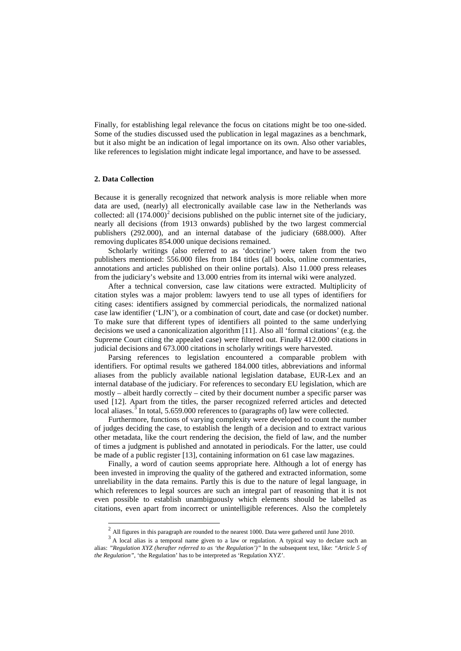Finally, for establishing legal relevance the focus on citations might be too one-sided. Some of the studies discussed used the publication in legal magazines as a benchmark, but it also might be an indication of legal importance on its own. Also other variables, like references to legislation might indicate legal importance, and have to be assessed.

### **2. Data Collection**

Because it is generally recognized that network analysis is more reliable when more data are used, (nearly) all electronically available case law in the Netherlands was collected: all  $(174.000)^2$  $(174.000)^2$  decisions published on the public internet site of the judiciary, nearly all decisions (from 1913 onwards) published by the two largest commercial publishers (292.000), and an internal database of the judiciary (688.000). After removing duplicates 854.000 unique decisions remained.

Scholarly writings (also referred to as 'doctrine') were taken from the two publishers mentioned: 556.000 files from 184 titles (all books, online commentaries, annotations and articles published on their online portals). Also 11.000 press releases from the judiciary's website and 13.000 entries from its internal wiki were analyzed.

After a technical conversion, case law citations were extracted. Multiplicity of citation styles was a major problem: lawyers tend to use all types of identifiers for citing cases: identifiers assigned by commercial periodicals, the normalized national case law identifier ('LJN'), or a combination of court, date and case (or docket) number. To make sure that different types of identifiers all pointed to the same underlying decisions we used a canonicalization algorithm [\[11\]](#page-9-10). Also all 'formal citations' (e.g. the Supreme Court citing the appealed case) were filtered out. Finally 412.000 citations in judicial decisions and 673.000 citations in scholarly writings were harvested.

Parsing references to legislation encountered a comparable problem with identifiers. For optimal results we gathered 184.000 titles, abbreviations and informal aliases from the publicly available national legislation database, EUR-Lex and an internal database of the judiciary. For references to secondary EU legislation, which are mostly – albeit hardly correctly – cited by their document number a specific parser was used [\[12\]](#page-9-11). Apart from the titles, the parser recognized referred articles and detected local aliases.<sup>[3](#page-2-1)</sup> In total, 5.659.000 references to (paragraphs of) law were collected.

Furthermore, functions of varying complexity were developed to count the number of judges deciding the case, to establish the length of a decision and to extract various other metadata, like the court rendering the decision, the field of law, and the number of times a judgment is published and annotated in periodicals. For the latter, use could be made of a public register [ [13\]](#page-9-12), containing information on 61 case law magazines.

Finally, a word of caution seems appropriate here. Although a lot of energy has been invested in improving the quality of the gathered and extracted information, some unreliability in the data remains. Partly this is due to the nature of legal language, in which references to legal sources are such an integral part of reasoning that it is not even possible to establish unambiguously which elements should be labelled as citations, even apart from incorrect or unintelligible references. Also the completely

<span id="page-2-1"></span><span id="page-2-0"></span><sup>&</sup>lt;sup>2</sup> All figures in this paragraph are rounded to the nearest 1000. Data were gathered until June 2010.<br><sup>3</sup> A local alias is a temporal name given to a law or regulation. A typical way to declare such an alias: *"Regulation XYZ (herafter referred to as 'the Regulation')"* In the subsequent text, like: *"Article 5 of the Regulation"*, 'the Regulation' has to be interpreted as 'Regulation XYZ'.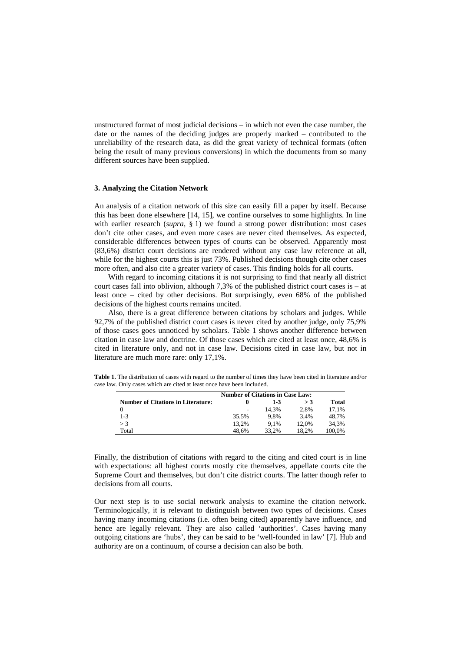unstructured format of most judicial decisions – in which not even the case number, the date or the names of the deciding judges are properly marked – contributed to the unreliability of the research data, as did the great variety of technical formats (often being the result of many previous conversions) in which the documents from so many different sources have been supplied.

# **3. Analyzing the Citation Network**

An analysis of a citation network of this size can easily fill a paper by itself. Because this has been done elsewhere [\[14,](#page-9-13) [15\]](#page-9-14), we confine ourselves to some highlights. In line with earlier research (*supra*, § 1) we found a strong power distribution: most cases don't cite other cases, and even more cases are never cited themselves. As expected, considerable differences between types of courts can be observed. Apparently most (83,6%) district court decisions are rendered without any case law reference at all, while for the highest courts this is just 73%. Published decisions though cite other cases more often, and also cite a greater variety of cases. This finding holds for all courts.

With regard to incoming citations it is not surprising to find that nearly all district court cases fall into oblivion, although  $7,3%$  of the published district court cases is – at least once – cited by other decisions. But surprisingly, even 68% of the published decisions of the highest courts remains uncited.

Also, there is a great difference between citations by scholars and judges. While 92,7% of the published district court cases is never cited by another judge, only 75,9% of those cases goes unnoticed by scholars. Table 1 shows another difference between citation in case law and doctrine. Of those cases which are cited at least once, 48,6% is cited in literature only, and not in case law. Decisions cited in case law, but not in literature are much more rare: only 17,1%.

|                                           | <b>Number of Citations in Case Law:</b> |       |       |        |
|-------------------------------------------|-----------------------------------------|-------|-------|--------|
| <b>Number of Citations in Literature:</b> |                                         | 1-3   | >3    | Total  |
|                                           | $\overline{\phantom{a}}$                | 14.3% | 2.8%  | 17.1%  |
| $1 - 3$                                   | 35.5%                                   | 9.8%  | 3.4%  | 48.7%  |
| $>$ 3                                     | 13.2%                                   | 9.1%  | 12.0% | 34.3%  |
| Total                                     | 48.6%                                   | 33.2% | 18.2% | 100.0% |

**Table 1.** The distribution of cases with regard to the number of times they have been cited in literature and/or case law. Only cases which are cited at least once have been included.

Finally, the distribution of citations with regard to the citing and cited court is in line with expectations: all highest courts mostly cite themselves, appellate courts cite the Supreme Court and themselves, but don't cite district courts. The latter though refer to decisions from all courts.

Our next step is to use social network analysis to examine the citation network. Terminologically, it is relevant to distinguish between two types of decisions. Cases having many incoming citations (i.e. often being cited) apparently have influence, and hence are legally relevant. They are also called 'authorities'. Cases having many outgoing citations are 'hubs', they can be said to be 'well-founded in law' [\[7\]](#page-9-6). Hub and authority are on a continuum, of course a decision can also be both.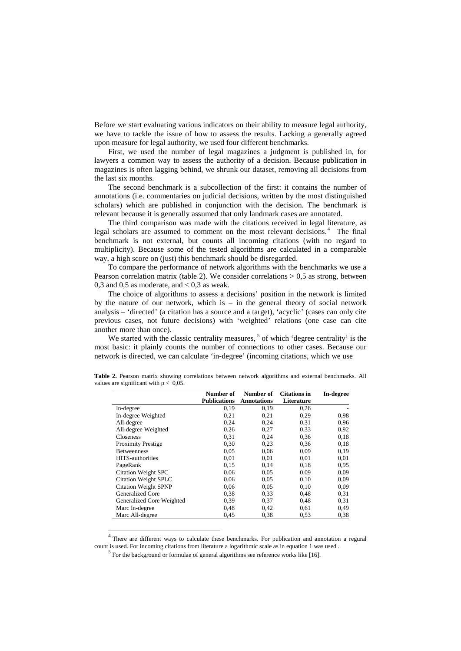Before we start evaluating various indicators on their ability to measure legal authority, we have to tackle the issue of how to assess the results. Lacking a generally agreed upon measure for legal authority, we used four different benchmarks.

First, we used the number of legal magazines a judgment is published in, for lawyers a common way to assess the authority of a decision. Because publication in magazines is often lagging behind, we shrunk our dataset, removing all decisions from the last six months.

The second benchmark is a subcollection of the first: it contains the number of annotations (i.e. commentaries on judicial decisions, written by the most distinguished scholars) which are published in conjunction with the decision. The benchmark is relevant because it is generally assumed that only landmark cases are annotated.

The third comparison was made with the citations received in legal literature, as legal scholars are assumed to comment on the most relevant decisions. [4](#page-4-0) The final benchmark is not external, but counts all incoming citations (with no regard to multiplicity). Because some of the tested algorithms are calculated in a comparable way, a high score on (just) this benchmark should be disregarded.

To compare the performance of network algorithms with the benchmarks we use a Pearson correlation matrix (table 2). We consider correlations  $> 0.5$  as strong, between 0,3 and 0,5 as moderate, and  $<$  0,3 as weak.

The choice of algorithms to assess a decisions' position in the network is limited by the nature of our network, which is  $-$  in the general theory of social network analysis – 'directed' (a citation has a source and a target), 'acyclic' (cases can only cite previous cases, not future decisions) with 'weighted' relations (one case can cite another more than once).

We started with the classic centrality measures,  $5$  of which 'degree centrality' is the most basic: it plainly counts the number of connections to other cases. Because our network is directed, we can calculate 'in-degree' (incoming citations, which we use

|                             | Number of           | Number of          | <b>Citations in</b> | In-degree |
|-----------------------------|---------------------|--------------------|---------------------|-----------|
|                             | <b>Publications</b> | <b>Annotations</b> | Literature          |           |
| In-degree                   | 0,19                | 0,19               | 0.26                |           |
| In-degree Weighted          | 0,21                | 0.21               | 0.29                | 0.98      |
| All-degree                  | 0,24                | 0,24               | 0.31                | 0.96      |
| All-degree Weighted         | 0,26                | 0,27               | 0.33                | 0,92      |
| <b>Closeness</b>            | 0.31                | 0,24               | 0.36                | 0,18      |
| Proximity Prestige          | 0,30                | 0.23               | 0.36                | 0,18      |
| <b>Betweenness</b>          | 0,05                | 0.06               | 0.09                | 0,19      |
| <b>HITS-authorities</b>     | 0,01                | 0.01               | 0.01                | 0,01      |
| PageRank                    | 0,15                | 0,14               | 0.18                | 0.95      |
| <b>Citation Weight SPC</b>  | 0,06                | 0.05               | 0.09                | 0.09      |
| <b>Citation Weight SPLC</b> | 0,06                | 0.05               | 0,10                | 0.09      |
| <b>Citation Weight SPNP</b> | 0,06                | 0.05               | 0,10                | 0.09      |
| Generalized Core            | 0,38                | 0.33               | 0.48                | 0.31      |
| Generalized Core Weighted   | 0,39                | 0.37               | 0.48                | 0.31      |
| Marc In-degree              | 0,48                | 0,42               | 0.61                | 0.49      |
| Marc All-degree             | 0,45                | 0.38               | 0.53                | 0,38      |

**Table 2.** Pearson matrix showing correlations between network algorithms and external benchmarks. All values are significant with  $p < 0.05$ .

<span id="page-4-1"></span><span id="page-4-0"></span>There are different ways to calculate these benchmarks. For publication and annotation a regural count is used. For incoming citations from literature a logarithmic scale as in equation 1 was used .  $5$  For the background or formulae of general algorithms see reference works like [\[16\]](#page-9-15).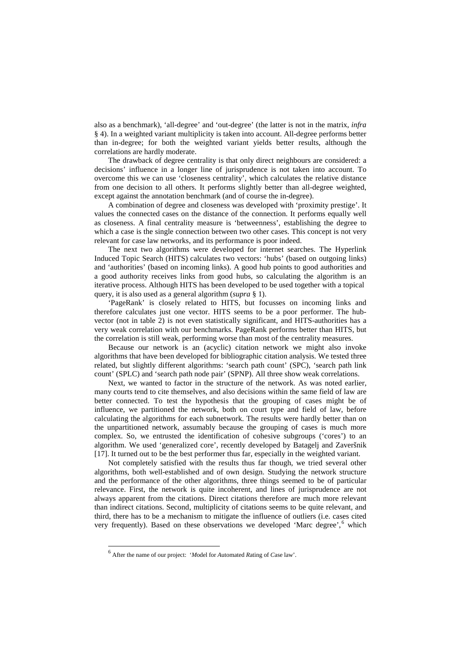also as a benchmark), 'all-degree' and 'out-degree' (the latter is not in the matrix, *infra* § 4). In a weighted variant multiplicity is taken into account. All-degree performs better than in-degree; for both the weighted variant yields better results, although the correlations are hardly moderate.

The drawback of degree centrality is that only direct neighbours are considered: a decisions' influence in a longer line of jurisprudence is not taken into account. To overcome this we can use 'closeness centrality', which calculates the relative distance from one decision to all others. It performs slightly better than all-degree weighted, except against the annotation benchmark (and of course the in-degree).

A combination of degree and closeness was developed with 'proximity prestige'. It values the connected cases on the distance of the connection. It performs equally well as closeness. A final centrality measure is 'betweenness', establishing the degree to which a case is the single connection between two other cases. This concept is not very relevant for case law networks, and its performance is poor indeed.

The next two algorithms were developed for internet searches. The Hyperlink Induced Topic Search (HITS) calculates two vectors: 'hubs' (based on outgoing links) and 'authorities' (based on incoming links). A good hub points to good authorities and a good authority receives links from good hubs, so calculating the algorithm is an iterative process. Although HITS has been developed to be used together with a topical query, it is also used as a general algorithm (*supra* § 1).

'PageRank' is closely related to HITS, but focusses on incoming links and therefore calculates just one vector. HITS seems to be a poor performer. The hubvector (not in table 2) is not even statistically significant, and HITS-authorities has a very weak correlation with our benchmarks. PageRank performs better than HITS, but the correlation is still weak, performing worse than most of the centrality measures.

Because our network is an (acyclic) citation network we might also invoke algorithms that have been developed for bibliographic citation analysis. We tested three related, but slightly different algorithms: 'search path count' (SPC), 'search path link count' (SPLC) and 'search path node pair' (SPNP). All three show weak correlations.

Next, we wanted to factor in the structure of the network. As was noted earlier, many courts tend to cite themselves, and also decisions within the same field of law are better connected. To test the hypothesis that the grouping of cases might be of influence, we partitioned the network, both on court type and field of law, before calculating the algorithms for each subnetwork. The results were hardly better than on the unpartitioned network, assumably because the grouping of cases is much more complex. So, we entrusted the identification of cohesive subgroups ('cores') to an algorithm. We used 'generalized core', recently developed by Batagelj and Zaveršnik [\[17\]](#page-9-16). It turned out to be the best performer thus far, especially in the weighted variant.

Not completely satisfied with the results thus far though, we tried several other algorithms, both well-established and of own design. Studying the network structure and the performance of the other algorithms, three things seemed to be of particular relevance. First, the network is quite incoherent, and lines of jurisprudence are not always apparent from the citations. Direct citations therefore are much more relevant than indirect citations. Second, multiplicity of citations seems to be quite relevant, and third, there has to be a mechanism to mitigate the influence of outliers (i.e. cases cited very frequently). Based on these observations we developed 'Marc degree', <sup>[6](#page-5-0)</sup> which

<span id="page-5-0"></span> <sup>6</sup> After the name of our project: '*M*odel for *A*utomated *R*ating of *C*ase law'.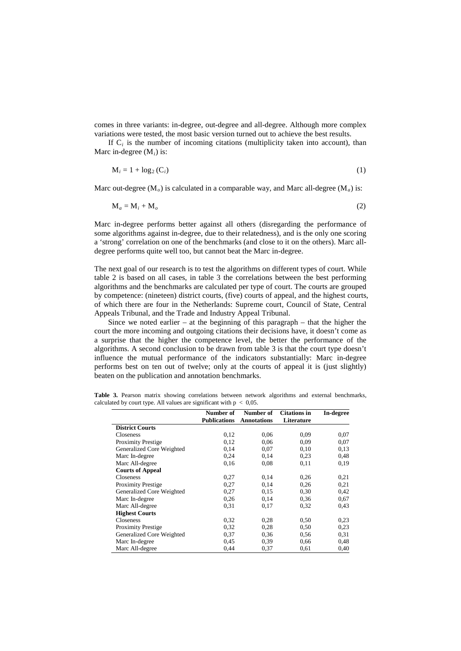comes in three variants: in-degree, out-degree and all-degree. Although more complex variations were tested, the most basic version turned out to achieve the best results.

If  $C_i$  is the number of incoming citations (multiplicity taken into account), than Marc in-degree (M*<sup>i</sup>* ) is:

$$
\mathbf{M}_i = 1 + \log_2(\mathbf{C}_i) \tag{1}
$$

Marc out-degree (M *<sup>o</sup>*) is calculated in a comparable way, and Marc all-degree (M*<sup>a</sup>* ) is:

$$
\mathbf{M}_a = \mathbf{M}_i + \mathbf{M}_o \tag{2}
$$

Marc in-degree performs better against all others (disregarding the performance of some algorithms against in-degree, due to their relatedness), and is the only one scoring a 'strong' correlation on one of the benchmarks (and close to it on the others). Marc alldegree performs quite well too, but cannot beat the Marc in-degree.

The next goal of our research is to test the algorithms on different types of court. While table 2 is based on all cases, in table 3 the correlations between the best performing algorithms and the benchmarks are calculated per type of court. The courts are grouped by competence: (nineteen) district courts, (five) courts of appeal, and the highest courts, of which there are four in the Netherlands: Supreme court, Council of State, Central Appeals Tribunal, and the Trade and Industry Appeal Tribunal.

Since we noted earlier – at the beginning of this paragraph – that the higher the court the more incoming and outgoing citations their decisions have, it doesn't come as a surprise that the higher the competence level, the better the performance of the algorithms. A second conclusion to be drawn from table 3 is that the court type doesn't influence the mutual performance of the indicators substantially: Marc in-degree performs best on ten out of twelve; only at the courts of appeal it is (just slightly) beaten on the publication and annotation benchmarks.

**Table 3.** Pearson matrix showing correlations between network algorithms and external benchmarks, calculated by court type. All values are significant with  $p < 0.05$ .

|                           | Number of<br><b>Publications</b> | Number of<br><b>Annotations</b> | <b>Citations in</b><br>Literature | In-degree |
|---------------------------|----------------------------------|---------------------------------|-----------------------------------|-----------|
| <b>District Courts</b>    |                                  |                                 |                                   |           |
|                           |                                  |                                 |                                   |           |
| Closeness                 | 0.12                             | 0,06                            | 0.09                              | 0.07      |
| <b>Proximity Prestige</b> | 0.12                             | 0,06                            | 0.09                              | 0.07      |
| Generalized Core Weighted | 0.14                             | 0.07                            | 0,10                              | 0.13      |
| Marc In-degree            | 0.24                             | 0,14                            | 0.23                              | 0.48      |
| Marc All-degree           | 0.16                             | 0.08                            | 0,11                              | 0,19      |
| <b>Courts of Appeal</b>   |                                  |                                 |                                   |           |
| Closeness                 | 0,27                             | 0,14                            | 0,26                              | 0.21      |
| <b>Proximity Prestige</b> | 0,27                             | 0,14                            | 0,26                              | 0,21      |
| Generalized Core Weighted | 0,27                             | 0,15                            | 0,30                              | 0.42      |
| Marc In-degree            | 0.26                             | 0,14                            | 0,36                              | 0.67      |
| Marc All-degree           | 0,31                             | 0,17                            | 0.32                              | 0.43      |
| <b>Highest Courts</b>     |                                  |                                 |                                   |           |
| Closeness                 | 0.32                             | 0,28                            | 0,50                              | 0.23      |
| <b>Proximity Prestige</b> | 0.32                             | 0,28                            | 0,50                              | 0.23      |
| Generalized Core Weighted | 0.37                             | 0,36                            | 0,56                              | 0.31      |
| Marc In-degree            | 0.45                             | 0.39                            | 0,66                              | 0,48      |
| Marc All-degree           | 0,44                             | 0.37                            | 0,61                              | 0,40      |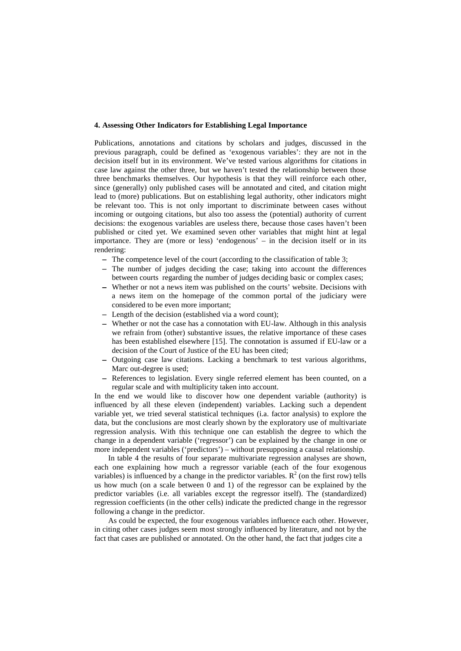### **4. Assessing Other Indicators for Establishing Legal Importance**

Publications, annotations and citations by scholars and judges, discussed in the previous paragraph, could be defined as 'exogenous variables': they are not in the decision itself but in its environment. We've tested various algorithms for citations in case law against the other three, but we haven't tested the relationship between those three benchmarks themselves. Our hypothesis is that they will reinforce each other, since (generally) only published cases will be annotated and cited, and citation might lead to (more) publications. But on establishing legal authority, other indicators might be relevant too. This is not only important to discriminate between cases without incoming or outgoing citations, but also too assess the (potential) authority of current decisions: the exogenous variables are useless there, because those cases haven't been published or cited yet. We examined seven other variables that might hint at legal importance. They are (more or less) 'endogenous' – in the decision itself or in its rendering:

- − The competence level of the court (according to the classification of table 3;
- − The number of judges deciding the case; taking into account the differences between courts regarding the number of judges deciding basic or complex cases;
- − Whether or not a news item was published on the courts' website. Decisions with a news item on the homepage of the common portal of the judiciary were considered to be even more important;
- − Length of the decision (established via a word count);
- − Whether or not the case has a connotation with EU-law. Although in this analysis we refrain from (other) substantive issues, the relative importance of these cases has been established elsewhere [\[15\]](#page-9-14). The connotation is assumed if EU-law or a decision of the Court of Justice of the EU has been cited;
- − Outgoing case law citations. Lacking a benchmark to test various algorithms, Marc out-degree is used;
- − References to legislation. Every single referred element has been counted, on a regular scale and with multiplicity taken into account.

In the end we would like to discover how one dependent variable (authority) is influenced by all these eleven (independent) variables. Lacking such a dependent variable yet, we tried several statistical techniques (i.a. factor analysis) to explore the data, but the conclusions are most clearly shown by the exploratory use of multivariate regression analysis. With this technique one can establish the degree to which the change in a dependent variable ('regressor') can be explained by the change in one or more independent variables ('predictors') – without presupposing a causal relationship.

In table 4 the results of four separate multivariate regression analyses are shown, each one explaining how much a regressor variable (each of the four exogenous variables) is influenced by a change in the predictor variables.  $R^2$  (on the first row) tells us how much (on a scale between 0 and 1) of the regressor can be explained by the predictor variables (i.e. all variables except the regressor itself). The (standardized) regression coefficients (in the other cells) indicate the predicted change in the regressor following a change in the predictor.

As could be expected, the four exogenous variables influence each other. However, in citing other cases judges seem most strongly influenced by literature, and not by the fact that cases are published or annotated. On the other hand, the fact that judges cite a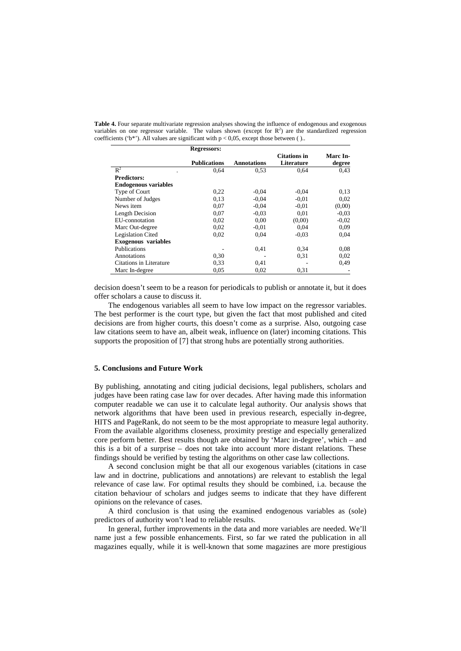|                             | Regressors:         |                    |                                   |                    |
|-----------------------------|---------------------|--------------------|-----------------------------------|--------------------|
|                             | <b>Publications</b> | <b>Annotations</b> | <b>Citations</b> in<br>Literature | Marc In-<br>degree |
| $R^2$                       | 0.64                | 0.53               | 0.64                              | 0.43               |
| <b>Predictors:</b>          |                     |                    |                                   |                    |
| <b>Endogenous variables</b> |                     |                    |                                   |                    |
| Type of Court               | 0,22                | $-0.04$            | $-0.04$                           | 0.13               |
| Number of Judges            | 0.13                | $-0.04$            | $-0.01$                           | 0,02               |
| News item                   | 0.07                | $-0.04$            | $-0.01$                           | (0.00)             |
| Length Decision             | 0,07                | $-0.03$            | 0,01                              | $-0.03$            |
| EU-connotation              | 0.02                | 0.00               | (0,00)                            | $-0.02$            |
| Marc Out-degree             | 0.02                | $-0.01$            | 0.04                              | 0.09               |
| Legislation Cited           | 0,02                | 0.04               | $-0.03$                           | 0,04               |
| <b>Exogenous</b> variables  |                     |                    |                                   |                    |
| Publications                |                     | 0.41               | 0,34                              | 0.08               |
| Annotations                 | 0,30                |                    | 0.31                              | 0,02               |
| Citations in Literature     | 0.33                | 0.41               |                                   | 0.49               |
| Marc In-degree              | 0.05                | 0.02               | 0,31                              |                    |

**Table 4.** Four separate multivariate regression analyses showing the influence of endogenous and exogenous variables on one regressor variable. The values shown (except for  $R^2$ ) are the standardized regression coefficients (' $b^*$ '). All values are significant with  $p < 0.05$ , except those between ()..

decision doesn't seem to be a reason for periodicals to publish or annotate it, but it does offer scholars a cause to discuss it.

The endogenous variables all seem to have low impact on the regressor variables. The best performer is the court type, but given the fact that most published and cited decisions are from higher courts, this doesn't come as a surprise. Also, outgoing case law citations seem to have an, albeit weak, influence on (later) incoming citations. This supports the proposition of [\[7\]](#page-9-6) that strong hubs are potentially strong authorities.

# **5. Conclusions and Future Work**

By publishing, annotating and citing judicial decisions, legal publishers, scholars and judges have been rating case law for over decades. After having made this information computer readable we can use it to calculate legal authority. Our analysis shows that network algorithms that have been used in previous research, especially in-degree, HITS and PageRank, do not seem to be the most appropriate to measure legal authority. From the available algorithms closeness, proximity prestige and especially generalized core perform better. Best results though are obtained by 'Marc in-degree', which – and this is a bit of a surprise – does not take into account more distant relations. These findings should be verified by testing the algorithms on other case law collections.

A second conclusion might be that all our exogenous variables (citations in case law and in doctrine, publications and annotations) are relevant to establish the legal relevance of case law. For optimal results they should be combined, i.a. because the citation behaviour of scholars and judges seems to indicate that they have different opinions on the relevance of cases.

A third conclusion is that using the examined endogenous variables as (sole) predictors of authority won't lead to reliable results.

In general, further improvements in the data and more variables are needed. We'll name just a few possible enhancements. First, so far we rated the publication in all magazines equally, while it is well-known that some magazines are more prestigious